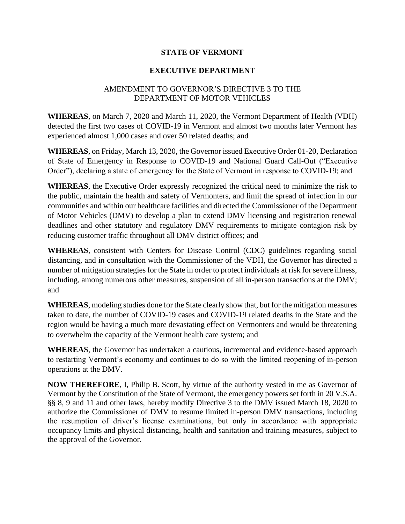## **STATE OF VERMONT**

## **EXECUTIVE DEPARTMENT**

## AMENDMENT TO GOVERNOR'S DIRECTIVE 3 TO THE DEPARTMENT OF MOTOR VEHICLES

**WHEREAS**, on March 7, 2020 and March 11, 2020, the Vermont Department of Health (VDH) detected the first two cases of COVID-19 in Vermont and almost two months later Vermont has experienced almost 1,000 cases and over 50 related deaths; and

**WHEREAS**, on Friday, March 13, 2020, the Governor issued Executive Order 01-20, Declaration of State of Emergency in Response to COVID-19 and National Guard Call-Out ("Executive Order"), declaring a state of emergency for the State of Vermont in response to COVID-19; and

**WHEREAS**, the Executive Order expressly recognized the critical need to minimize the risk to the public, maintain the health and safety of Vermonters, and limit the spread of infection in our communities and within our healthcare facilities and directed the Commissioner of the Department of Motor Vehicles (DMV) to develop a plan to extend DMV licensing and registration renewal deadlines and other statutory and regulatory DMV requirements to mitigate contagion risk by reducing customer traffic throughout all DMV district offices; and

**WHEREAS**, consistent with Centers for Disease Control (CDC) guidelines regarding social distancing, and in consultation with the Commissioner of the VDH, the Governor has directed a number of mitigation strategies for the State in order to protect individuals at risk for severe illness, including, among numerous other measures, suspension of all in-person transactions at the DMV; and

**WHEREAS**, modeling studies done for the State clearly show that, but for the mitigation measures taken to date, the number of COVID-19 cases and COVID-19 related deaths in the State and the region would be having a much more devastating effect on Vermonters and would be threatening to overwhelm the capacity of the Vermont health care system; and

**WHEREAS**, the Governor has undertaken a cautious, incremental and evidence-based approach to restarting Vermont's economy and continues to do so with the limited reopening of in-person operations at the DMV.

**NOW THEREFORE**, I, Philip B. Scott, by virtue of the authority vested in me as Governor of Vermont by the Constitution of the State of Vermont, the emergency powers set forth in 20 V.S.A. §§ 8, 9 and 11 and other laws, hereby modify Directive 3 to the DMV issued March 18, 2020 to authorize the Commissioner of DMV to resume limited in-person DMV transactions, including the resumption of driver's license examinations, but only in accordance with appropriate occupancy limits and physical distancing, health and sanitation and training measures, subject to the approval of the Governor.